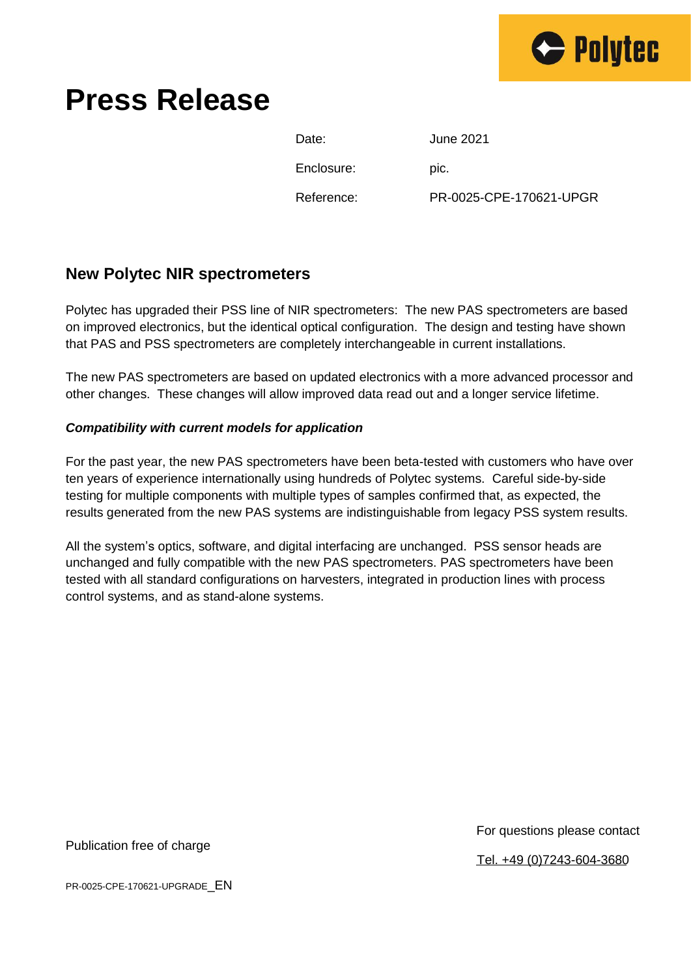

# **Press Release**

| Date:      | June 2021               |
|------------|-------------------------|
| Enclosure: | DIC.                    |
| Reference: | PR-0025-CPE-170621-UPGR |

### **New Polytec NIR spectrometers**

Polytec has upgraded their PSS line of NIR spectrometers: The new PAS spectrometers are based on improved electronics, but the identical optical configuration. The design and testing have shown that PAS and PSS spectrometers are completely interchangeable in current installations.

The new PAS spectrometers are based on updated electronics with a more advanced processor and other changes. These changes will allow improved data read out and a longer service lifetime.

#### *Compatibility with current models for application*

For the past year, the new PAS spectrometers have been beta-tested with customers who have over ten years of experience internationally using hundreds of Polytec systems. Careful side-by-side testing for multiple components with multiple types of samples confirmed that, as expected, the results generated from the new PAS systems are indistinguishable from legacy PSS system results.

All the system's optics, software, and digital interfacing are unchanged. PSS sensor heads are unchanged and fully compatible with the new PAS spectrometers. PAS spectrometers have been tested with all standard configurations on harvesters, integrated in production lines with process control systems, and as stand-alone systems.

Publication free of charge

For questions please contact

Tel. +49 (0)7243-604-3680

PR-0025-CPE-170621-UPGRADE\_EN